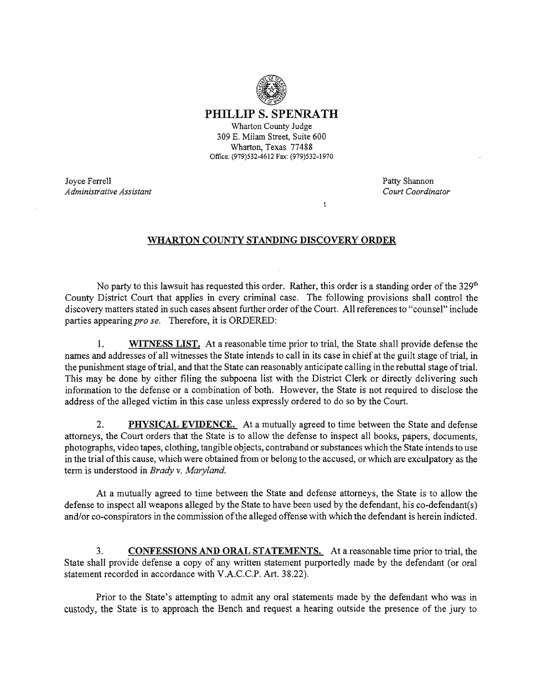

PHILLIP S. SPENRATH Wharton County Judge 309 E. Milam Street, Suite 600 Wharton, Texas 77488

Office: (979)532-4612 Fax: (979)532-1970

Joyce Ferrell **Patty Shannon**<br> *Administrative Assistant* Count Coordinator **Patty Shannon**<br> *Administrative Assistant Administrative Assistant Court Coordinator* 

## WHARTON COUNTY STANDING DISCOVERY ORDER

 $\mathbf{r}$ 

No party to this lawsuit has requested this order. Rather, this order is a standing order of the  $329<sup>th</sup>$ County District Court that applies in every criminal case. The following provisions shall control the discovery matters stated in such cases absent further order ofthe Court. All references to "counsel" include parties appearing *pro se.* Therefore, it is ORDERED:

1. WITNESS LIST. At a reasonable time prior to trial, the State shall provide defense the names and addresses of all witnesses the State intends to call in its case in chief at the guilt stage oftrial, in the punishment stage oftrial, and that the State can reasonably anticipate calling in the rebuttal stage oftrial. This may be done by either filing the subpoena list with the District Clerk or directly delivering such infonnation to the defense or a combination of both. However, the State is not required to disclose the address of the alleged victim in this case unless expressly ordered to do so by the Court.

2. **PHYSICAL EVIDENCE.** At a mutually agreed to time between the State and defense attorneys, the Court orders that the State is to allow the defense to inspect all books, papers, documents, photographs, video tapes, clothing, tangible objects, contraband or substances which the State intends to use in the trial ofthis cause, which were obtained from or belong to the accused, or which are exculpatory as the term is understood in *Brady* v. *Maryland.* 

At a mutually agreed to time between the State and defense attorneys, the State is to allow the defense to inspect all weapons alleged by the State to have been used by the defendant, his co-defendant(s) and/or co-conspirators in the commission ofthe alleged offense with which the defendant is herein indicted.

3. CONFESSIONS AND ORAL STATEMENTS. At a reasonable time prior to trial, the State shall provide defense a copy of any written statement purportedly made by the defendant (or oral statement recorded in accordance with V.A.C.c.P. Art. 38.22).

Prior to the State's attempting to admit any oral statements made by the defendant who was in custody, the State is to approach the Bench and request a hearing outside the presence of the jury to